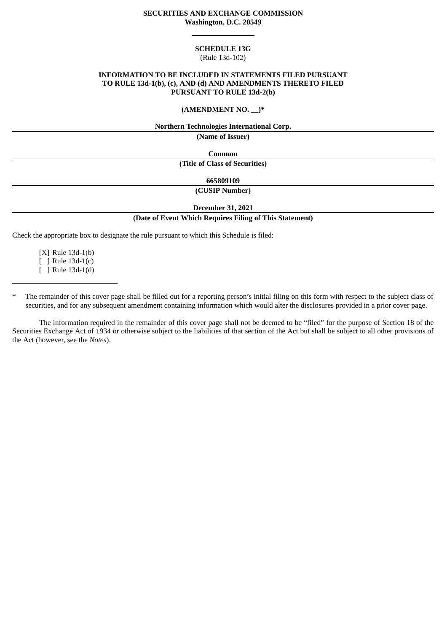## **SECURITIES AND EXCHANGE COMMISSION Washington, D.C. 20549**

#### **SCHEDULE 13G**

## (Rule 13d-102)

## **INFORMATION TO BE INCLUDED IN STATEMENTS FILED PURSUANT TO RULE 13d-1(b), (c), AND (d) AND AMENDMENTS THERETO FILED PURSUANT TO RULE 13d-2(b)**

#### **(AMENDMENT NO. \_\_)\***

#### **Northern Technologies International Corp.**

**(Name of Issuer)**

**Common (Title of Class of Securities)**

**665809109**

**(CUSIP Number)**

**December 31, 2021**

## **(Date of Event Which Requires Filing of This Statement)**

Check the appropriate box to designate the rule pursuant to which this Schedule is filed:

[X] Rule 13d-1(b) [ ] Rule 13d-1(c) [ ] Rule 13d-1(d)

The remainder of this cover page shall be filled out for a reporting person's initial filing on this form with respect to the subject class of securities, and for any subsequent amendment containing information which would alter the disclosures provided in a prior cover page.

The information required in the remainder of this cover page shall not be deemed to be "filed" for the purpose of Section 18 of the Securities Exchange Act of 1934 or otherwise subject to the liabilities of that section of the Act but shall be subject to all other provisions of the Act (however, see the *Notes*).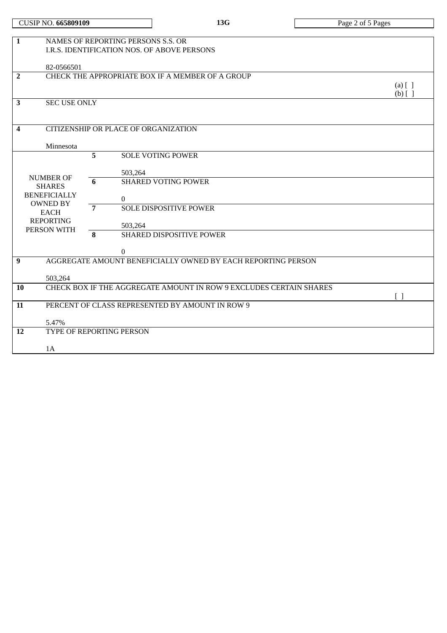| NAMES OF REPORTING PERSONS S.S. OR<br>$\mathbf{1}$<br>I.R.S. IDENTIFICATION NOS. OF ABOVE PERSONS |                                                  |                                                                    |                        |  |  |
|---------------------------------------------------------------------------------------------------|--------------------------------------------------|--------------------------------------------------------------------|------------------------|--|--|
| 82-0566501                                                                                        |                                                  |                                                                    |                        |  |  |
| $\overline{2}$                                                                                    | CHECK THE APPROPRIATE BOX IF A MEMBER OF A GROUP |                                                                    |                        |  |  |
|                                                                                                   |                                                  |                                                                    | $(a)$ [ ]<br>$(b)$ [ ] |  |  |
| 3<br><b>SEC USE ONLY</b>                                                                          |                                                  |                                                                    |                        |  |  |
| CITIZENSHIP OR PLACE OF ORGANIZATION<br>4                                                         |                                                  |                                                                    |                        |  |  |
| Minnesota                                                                                         |                                                  |                                                                    |                        |  |  |
|                                                                                                   | 5                                                | <b>SOLE VOTING POWER</b>                                           |                        |  |  |
| <b>NUMBER OF</b>                                                                                  |                                                  | 503,264                                                            |                        |  |  |
| <b>SHARES</b>                                                                                     | 6                                                | <b>SHARED VOTING POWER</b>                                         |                        |  |  |
| <b>BENEFICIALLY</b><br><b>OWNED BY</b>                                                            |                                                  | $\mathbf{0}$                                                       |                        |  |  |
| <b>EACH</b>                                                                                       | $\overline{7}$                                   | <b>SOLE DISPOSITIVE POWER</b>                                      |                        |  |  |
| <b>REPORTING</b><br>PERSON WITH                                                                   |                                                  | 503,264                                                            |                        |  |  |
|                                                                                                   | 8                                                | SHARED DISPOSITIVE POWER                                           |                        |  |  |
|                                                                                                   |                                                  | $\overline{0}$                                                     |                        |  |  |
| $\boldsymbol{9}$                                                                                  |                                                  | AGGREGATE AMOUNT BENEFICIALLY OWNED BY EACH REPORTING PERSON       |                        |  |  |
| 503,264                                                                                           |                                                  |                                                                    |                        |  |  |
| 10                                                                                                |                                                  | CHECK BOX IF THE AGGREGATE AMOUNT IN ROW 9 EXCLUDES CERTAIN SHARES | $\lceil \rceil$        |  |  |
| 11                                                                                                |                                                  | PERCENT OF CLASS REPRESENTED BY AMOUNT IN ROW 9                    |                        |  |  |
| 5.47%                                                                                             |                                                  |                                                                    |                        |  |  |
| 12                                                                                                |                                                  | TYPE OF REPORTING PERSON                                           |                        |  |  |
| 1A                                                                                                |                                                  |                                                                    |                        |  |  |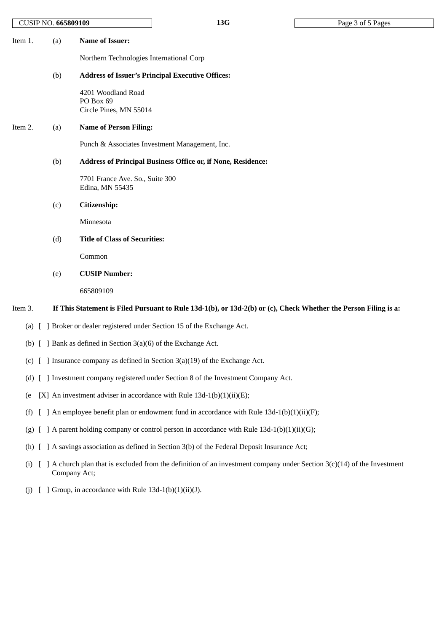| <b>CUSIP NO. 665809109</b> |  |
|----------------------------|--|
|                            |  |

| Item 1. | (a) | Name of Issuer:                                         |
|---------|-----|---------------------------------------------------------|
|         |     | Northern Technologies International Corp                |
|         | (b) | <b>Address of Issuer's Principal Executive Offices:</b> |
|         |     | 4201 Woodland Road                                      |

Road PO Box 69 Circle Pines, MN 55014

## Item 2. (a) **Name of Person Filing:**

Punch & Associates Investment Management, Inc.

#### (b) **Address of Principal Business Office or, if None, Residence:**

7701 France Ave. So., Suite 300 Edina, MN 55435

### (c) **Citizenship:**

Minnesota

(d) **Title of Class of Securities:**

Common

(e) **CUSIP Number:**

665809109

## Item 3. If This Statement is Filed Pursuant to Rule 13d-1(b), or 13d-2(b) or (c), Check Whether the Person Filing is a:

- (a) [ ] Broker or dealer registered under Section 15 of the Exchange Act.
- (b) [ ] Bank as defined in Section 3(a)(6) of the Exchange Act.
- (c) [ ] Insurance company as defined in Section 3(a)(19) of the Exchange Act.
- (d) [ ] Investment company registered under Section 8 of the Investment Company Act.
- (e  $[X]$  An investment adviser in accordance with Rule 13d-1(b)(1)(ii)(E);
- (f)  $\left[ \right]$  An employee benefit plan or endowment fund in accordance with Rule 13d-1(b)(1)(ii)(F);
- (g)  $\left[ \right]$  A parent holding company or control person in accordance with Rule 13d-1(b)(1)(ii)(G);
- (h) [ ] A savings association as defined in Section 3(b) of the Federal Deposit Insurance Act;
- (i)  $\left[ \right]$  A church plan that is excluded from the definition of an investment company under Section 3(c)(14) of the Investment Company Act;
- (j)  $[$  ] Group, in accordance with Rule 13d-1(b)(1)(ii)(J).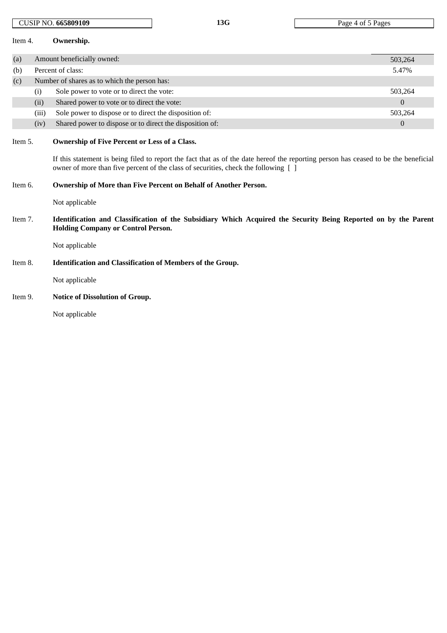| Item 4.                                              |                                                                  | Ownership.                                                                                                                                                                                                                                                                         |                  |  |
|------------------------------------------------------|------------------------------------------------------------------|------------------------------------------------------------------------------------------------------------------------------------------------------------------------------------------------------------------------------------------------------------------------------------|------------------|--|
| (a)                                                  |                                                                  | Amount beneficially owned:<br>503,264                                                                                                                                                                                                                                              |                  |  |
| (b)                                                  |                                                                  | Percent of class:                                                                                                                                                                                                                                                                  | 5.47%            |  |
| Number of shares as to which the person has:<br>(c)  |                                                                  |                                                                                                                                                                                                                                                                                    |                  |  |
|                                                      | (i)                                                              | Sole power to vote or to direct the vote:                                                                                                                                                                                                                                          | 503,264          |  |
|                                                      | (ii)                                                             | Shared power to vote or to direct the vote:                                                                                                                                                                                                                                        | $\boldsymbol{0}$ |  |
|                                                      | (iii)                                                            | Sole power to dispose or to direct the disposition of:                                                                                                                                                                                                                             | 503,264          |  |
|                                                      | (iv)                                                             | Shared power to dispose or to direct the disposition of:                                                                                                                                                                                                                           | $\mathbf{0}$     |  |
| Item 5.                                              |                                                                  | <b>Ownership of Five Percent or Less of a Class.</b><br>If this statement is being filed to report the fact that as of the date hereof the reporting person has ceased to be the beneficial<br>owner of more than five percent of the class of securities, check the following [ ] |                  |  |
| Item 6.                                              | Ownership of More than Five Percent on Behalf of Another Person. |                                                                                                                                                                                                                                                                                    |                  |  |
|                                                      |                                                                  | Not applicable                                                                                                                                                                                                                                                                     |                  |  |
| Item 7.<br><b>Holding Company or Control Person.</b> |                                                                  | Identification and Classification of the Subsidiary Which Acquired the Security Being Reported on by the Parent                                                                                                                                                                    |                  |  |
|                                                      |                                                                  | Not applicable                                                                                                                                                                                                                                                                     |                  |  |
| Item 8.                                              |                                                                  | <b>Identification and Classification of Members of the Group.</b>                                                                                                                                                                                                                  |                  |  |
|                                                      |                                                                  | Not applicable                                                                                                                                                                                                                                                                     |                  |  |
| Item 9.                                              |                                                                  | <b>Notice of Dissolution of Group.</b>                                                                                                                                                                                                                                             |                  |  |

CUSIP NO. **665809109 13G** Page 4 of 5 Pages

Not applicable